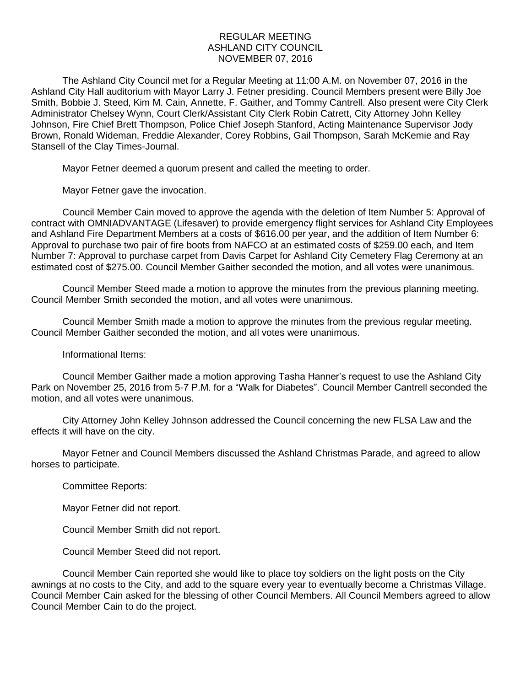## REGULAR MEETING ASHLAND CITY COUNCIL NOVEMBER 07, 2016

The Ashland City Council met for a Regular Meeting at 11:00 A.M. on November 07, 2016 in the Ashland City Hall auditorium with Mayor Larry J. Fetner presiding. Council Members present were Billy Joe Smith, Bobbie J. Steed, Kim M. Cain, Annette, F. Gaither, and Tommy Cantrell. Also present were City Clerk Administrator Chelsey Wynn, Court Clerk/Assistant City Clerk Robin Catrett, City Attorney John Kelley Johnson, Fire Chief Brett Thompson, Police Chief Joseph Stanford, Acting Maintenance Supervisor Jody Brown, Ronald Wideman, Freddie Alexander, Corey Robbins, Gail Thompson, Sarah McKemie and Ray Stansell of the Clay Times-Journal.

Mayor Fetner deemed a quorum present and called the meeting to order.

Mayor Fetner gave the invocation.

Council Member Cain moved to approve the agenda with the deletion of Item Number 5: Approval of contract with OMNIADVANTAGE (Lifesaver) to provide emergency flight services for Ashland City Employees and Ashland Fire Department Members at a costs of \$616.00 per year, and the addition of Item Number 6: Approval to purchase two pair of fire boots from NAFCO at an estimated costs of \$259.00 each, and Item Number 7: Approval to purchase carpet from Davis Carpet for Ashland City Cemetery Flag Ceremony at an estimated cost of \$275.00. Council Member Gaither seconded the motion, and all votes were unanimous.

Council Member Steed made a motion to approve the minutes from the previous planning meeting. Council Member Smith seconded the motion, and all votes were unanimous.

Council Member Smith made a motion to approve the minutes from the previous regular meeting. Council Member Gaither seconded the motion, and all votes were unanimous.

## Informational Items:

Council Member Gaither made a motion approving Tasha Hanner's request to use the Ashland City Park on November 25, 2016 from 5-7 P.M. for a "Walk for Diabetes". Council Member Cantrell seconded the motion, and all votes were unanimous.

City Attorney John Kelley Johnson addressed the Council concerning the new FLSA Law and the effects it will have on the city.

Mayor Fetner and Council Members discussed the Ashland Christmas Parade, and agreed to allow horses to participate.

Committee Reports:

Mayor Fetner did not report.

Council Member Smith did not report.

Council Member Steed did not report.

Council Member Cain reported she would like to place toy soldiers on the light posts on the City awnings at no costs to the City, and add to the square every year to eventually become a Christmas Village. Council Member Cain asked for the blessing of other Council Members. All Council Members agreed to allow Council Member Cain to do the project.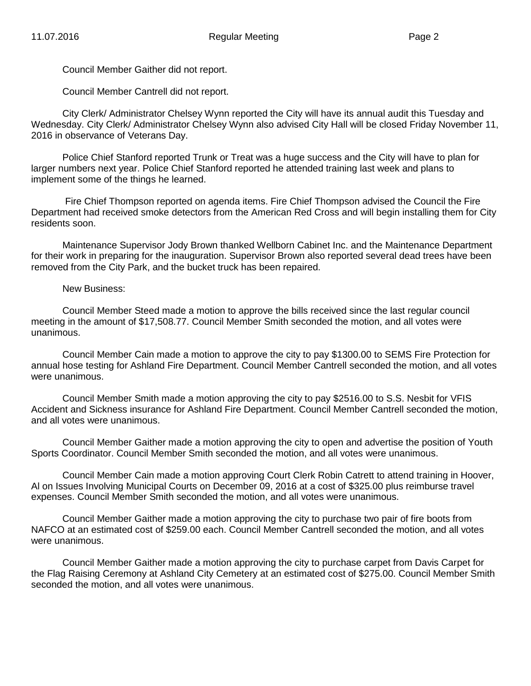Council Member Gaither did not report.

Council Member Cantrell did not report.

City Clerk/ Administrator Chelsey Wynn reported the City will have its annual audit this Tuesday and Wednesday. City Clerk/ Administrator Chelsey Wynn also advised City Hall will be closed Friday November 11, 2016 in observance of Veterans Day.

Police Chief Stanford reported Trunk or Treat was a huge success and the City will have to plan for larger numbers next year. Police Chief Stanford reported he attended training last week and plans to implement some of the things he learned.

Fire Chief Thompson reported on agenda items. Fire Chief Thompson advised the Council the Fire Department had received smoke detectors from the American Red Cross and will begin installing them for City residents soon.

Maintenance Supervisor Jody Brown thanked Wellborn Cabinet Inc. and the Maintenance Department for their work in preparing for the inauguration. Supervisor Brown also reported several dead trees have been removed from the City Park, and the bucket truck has been repaired.

## New Business:

Council Member Steed made a motion to approve the bills received since the last regular council meeting in the amount of \$17,508.77. Council Member Smith seconded the motion, and all votes were unanimous.

Council Member Cain made a motion to approve the city to pay \$1300.00 to SEMS Fire Protection for annual hose testing for Ashland Fire Department. Council Member Cantrell seconded the motion, and all votes were unanimous.

Council Member Smith made a motion approving the city to pay \$2516.00 to S.S. Nesbit for VFIS Accident and Sickness insurance for Ashland Fire Department. Council Member Cantrell seconded the motion, and all votes were unanimous.

Council Member Gaither made a motion approving the city to open and advertise the position of Youth Sports Coordinator. Council Member Smith seconded the motion, and all votes were unanimous.

Council Member Cain made a motion approving Court Clerk Robin Catrett to attend training in Hoover, Al on Issues Involving Municipal Courts on December 09, 2016 at a cost of \$325.00 plus reimburse travel expenses. Council Member Smith seconded the motion, and all votes were unanimous.

Council Member Gaither made a motion approving the city to purchase two pair of fire boots from NAFCO at an estimated cost of \$259.00 each. Council Member Cantrell seconded the motion, and all votes were unanimous.

Council Member Gaither made a motion approving the city to purchase carpet from Davis Carpet for the Flag Raising Ceremony at Ashland City Cemetery at an estimated cost of \$275.00. Council Member Smith seconded the motion, and all votes were unanimous.